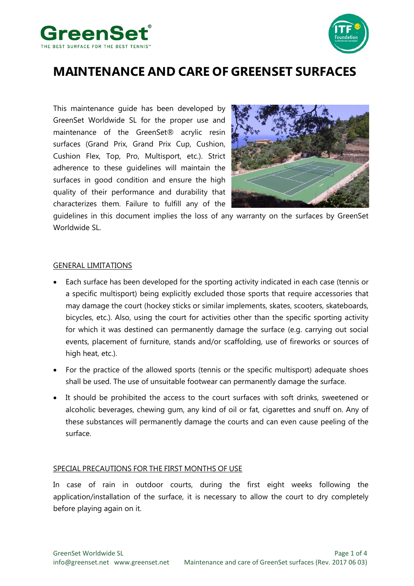



# **MAINTENANCE AND CARE OF GREENSET SURFACES**

This maintenance guide has been developed by GreenSet Worldwide SL for the proper use and maintenance of the GreenSet® acrylic resin surfaces (Grand Prix, Grand Prix Cup, Cushion, Cushion Flex, Top, Pro, Multisport, etc.). Strict adherence to these guidelines will maintain the surfaces in good condition and ensure the high quality of their performance and durability that characterizes them. Failure to fulfill any of the



guidelines in this document implies the loss of any warranty on the surfaces by GreenSet Worldwide SL.

#### GENERAL LIMITATIONS

- Each surface has been developed for the sporting activity indicated in each case (tennis or a specific multisport) being explicitly excluded those sports that require accessories that may damage the court (hockey sticks or similar implements, skates, scooters, skateboards, bicycles, etc.). Also, using the court for activities other than the specific sporting activity for which it was destined can permanently damage the surface (e.g. carrying out social events, placement of furniture, stands and/or scaffolding, use of fireworks or sources of high heat, etc.).
- For the practice of the allowed sports (tennis or the specific multisport) adequate shoes shall be used. The use of unsuitable footwear can permanently damage the surface.
- It should be prohibited the access to the court surfaces with soft drinks, sweetened or alcoholic beverages, chewing gum, any kind of oil or fat, cigarettes and snuff on. Any of these substances will permanently damage the courts and can even cause peeling of the surface.

#### SPECIAL PRECAUTIONS FOR THE FIRST MONTHS OF USE

In case of rain in outdoor courts, during the first eight weeks following the application/installation of the surface, it is necessary to allow the court to dry completely before playing again on it.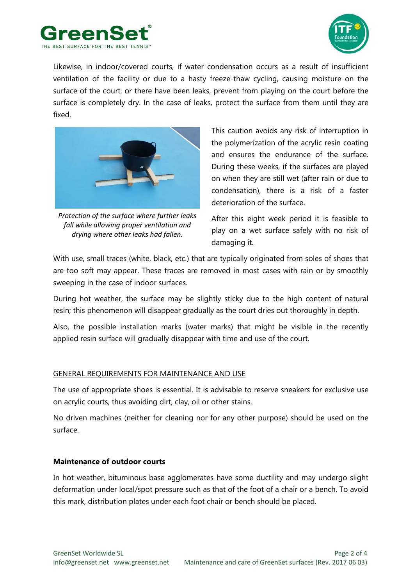



Likewise, in indoor/covered courts, if water condensation occurs as a result of insufficient ventilation of the facility or due to a hasty freeze-thaw cycling, causing moisture on the surface of the court, or there have been leaks, prevent from playing on the court before the surface is completely dry. In the case of leaks, protect the surface from them until they are fixed.



*Protection of the surface where further leaks fall while allowing proper ventilation and drying where other leaks had fallen.*

This caution avoids any risk of interruption in the polymerization of the acrylic resin coating and ensures the endurance of the surface. During these weeks, if the surfaces are played on when they are still wet (after rain or due to condensation), there is a risk of a faster deterioration of the surface.

After this eight week period it is feasible to play on a wet surface safely with no risk of damaging it.

With use, small traces (white, black, etc.) that are typically originated from soles of shoes that are too soft may appear. These traces are removed in most cases with rain or by smoothly sweeping in the case of indoor surfaces.

During hot weather, the surface may be slightly sticky due to the high content of natural resin; this phenomenon will disappear gradually as the court dries out thoroughly in depth.

Also, the possible installation marks (water marks) that might be visible in the recently applied resin surface will gradually disappear with time and use of the court.

### GENERAL REQUIREMENTS FOR MAINTENANCE AND USE

The use of appropriate shoes is essential. It is advisable to reserve sneakers for exclusive use on acrylic courts, thus avoiding dirt, clay, oil or other stains.

No driven machines (neither for cleaning nor for any other purpose) should be used on the surface.

## **Maintenance of outdoor courts**

In hot weather, bituminous base agglomerates have some ductility and may undergo slight deformation under local/spot pressure such as that of the foot of a chair or a bench. To avoid this mark, distribution plates under each foot chair or bench should be placed.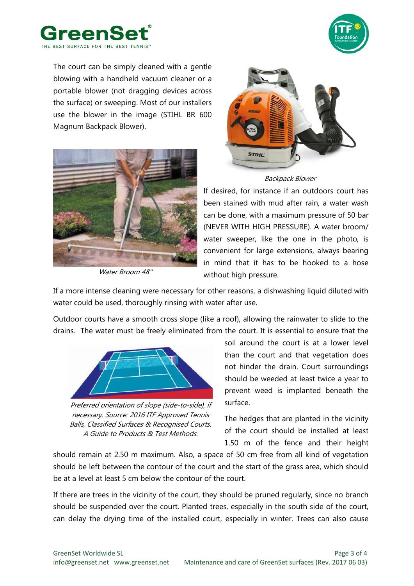



The court can be simply cleaned with a gentle blowing with a handheld vacuum cleaner or a portable blower (not dragging devices across the surface) or sweeping. Most of our installers use the blower in the image (STIHL BR 600 Magnum Backpack Blower).



Water Broom 48''



Backpack Blower

If desired, for instance if an outdoors court has been stained with mud after rain, a water wash can be done, with a maximum pressure of 50 bar (NEVER WITH HIGH PRESSURE). A water broom/ water sweeper, like the one in the photo, is convenient for large extensions, always bearing in mind that it has to be hooked to a hose without high pressure.

If a more intense cleaning were necessary for other reasons, a dishwashing liquid diluted with water could be used, thoroughly rinsing with water after use.

Outdoor courts have a smooth cross slope (like a roof), allowing the rainwater to slide to the drains. The water must be freely eliminated from the court. It is essential to ensure that the



Preferred orientation of slope (side-to-side), if necessary. Source: 2016 ITF Approved Tennis Balls, Classified Surfaces & Recognised Courts. A Guide to Products & Test Methods.

soil around the court is at a lower level than the court and that vegetation does not hinder the drain. Court surroundings should be weeded at least twice a year to prevent weed is implanted beneath the surface.

The hedges that are planted in the vicinity of the court should be installed at least 1.50 m of the fence and their height

should remain at 2.50 m maximum. Also, a space of 50 cm free from all kind of vegetation should be left between the contour of the court and the start of the grass area, which should be at a level at least 5 cm below the contour of the court.

If there are trees in the vicinity of the court, they should be pruned regularly, since no branch should be suspended over the court. Planted trees, especially in the south side of the court, can delay the drying time of the installed court, especially in winter. Trees can also cause